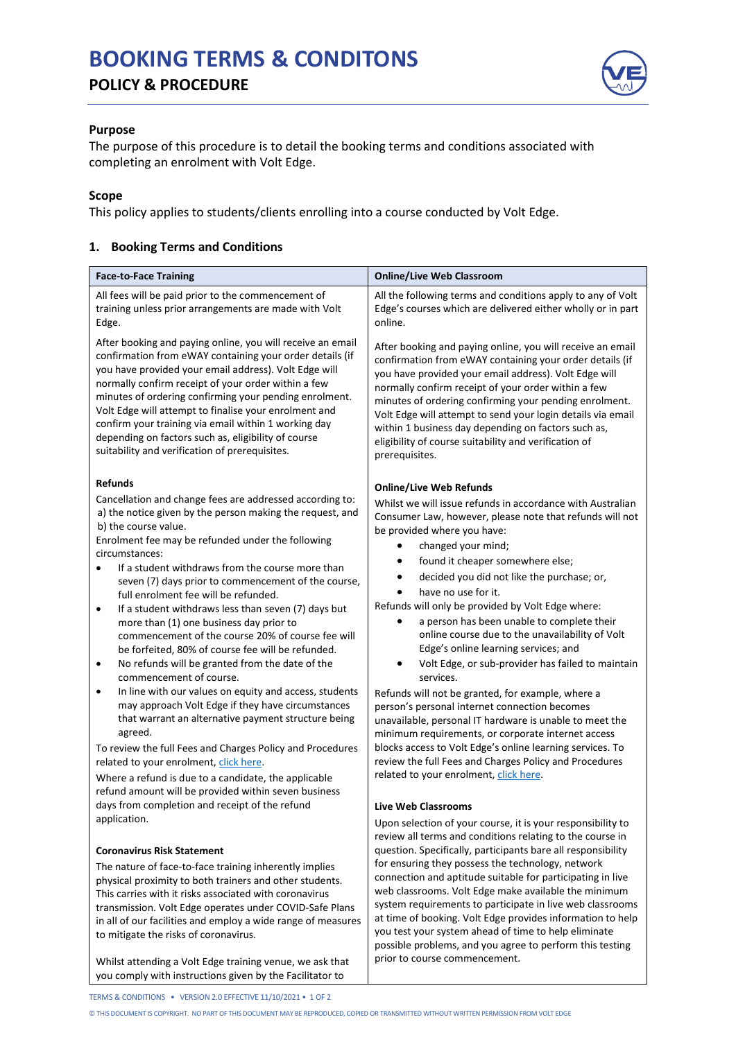

# **Purpose**

The purpose of this procedure is to detail the booking terms and conditions associated with completing an enrolment with Volt Edge.

## **Scope**

This policy applies to students/clients enrolling into a course conducted by Volt Edge.

# **1. Booking Terms and Conditions**

| <b>Face-to-Face Training</b>                                                                                                                                                                                                                                                                                                                                                                                                                                                                                                                                                                                                                                                                                                                                                                                                                                                                                                                                                          | <b>Online/Live Web Classroom</b>                                                                                                                                                                                                                                                                                                                                                                                                                                                                                                                                                                                                                                                                                                                                                                                                                                                                                                                       |
|---------------------------------------------------------------------------------------------------------------------------------------------------------------------------------------------------------------------------------------------------------------------------------------------------------------------------------------------------------------------------------------------------------------------------------------------------------------------------------------------------------------------------------------------------------------------------------------------------------------------------------------------------------------------------------------------------------------------------------------------------------------------------------------------------------------------------------------------------------------------------------------------------------------------------------------------------------------------------------------|--------------------------------------------------------------------------------------------------------------------------------------------------------------------------------------------------------------------------------------------------------------------------------------------------------------------------------------------------------------------------------------------------------------------------------------------------------------------------------------------------------------------------------------------------------------------------------------------------------------------------------------------------------------------------------------------------------------------------------------------------------------------------------------------------------------------------------------------------------------------------------------------------------------------------------------------------------|
| All fees will be paid prior to the commencement of<br>training unless prior arrangements are made with Volt<br>Edge.                                                                                                                                                                                                                                                                                                                                                                                                                                                                                                                                                                                                                                                                                                                                                                                                                                                                  | All the following terms and conditions apply to any of Volt<br>Edge's courses which are delivered either wholly or in part<br>online.                                                                                                                                                                                                                                                                                                                                                                                                                                                                                                                                                                                                                                                                                                                                                                                                                  |
| After booking and paying online, you will receive an email<br>confirmation from eWAY containing your order details (if<br>you have provided your email address). Volt Edge will<br>normally confirm receipt of your order within a few<br>minutes of ordering confirming your pending enrolment.<br>Volt Edge will attempt to finalise your enrolment and<br>confirm your training via email within 1 working day<br>depending on factors such as, eligibility of course<br>suitability and verification of prerequisites.                                                                                                                                                                                                                                                                                                                                                                                                                                                            | After booking and paying online, you will receive an email<br>confirmation from eWAY containing your order details (if<br>you have provided your email address). Volt Edge will<br>normally confirm receipt of your order within a few<br>minutes of ordering confirming your pending enrolment.<br>Volt Edge will attempt to send your login details via email<br>within 1 business day depending on factors such as,<br>eligibility of course suitability and verification of<br>prerequisites.                                                                                                                                                                                                                                                                                                                                                                                                                                                      |
| Refunds                                                                                                                                                                                                                                                                                                                                                                                                                                                                                                                                                                                                                                                                                                                                                                                                                                                                                                                                                                               |                                                                                                                                                                                                                                                                                                                                                                                                                                                                                                                                                                                                                                                                                                                                                                                                                                                                                                                                                        |
| Cancellation and change fees are addressed according to:<br>a) the notice given by the person making the request, and<br>b) the course value.<br>Enrolment fee may be refunded under the following<br>circumstances:<br>If a student withdraws from the course more than<br>٠<br>seven (7) days prior to commencement of the course,<br>full enrolment fee will be refunded.<br>If a student withdraws less than seven (7) days but<br>٠<br>more than (1) one business day prior to<br>commencement of the course 20% of course fee will<br>be forfeited, 80% of course fee will be refunded.<br>No refunds will be granted from the date of the<br>٠<br>commencement of course.<br>In line with our values on equity and access, students<br>$\bullet$<br>may approach Volt Edge if they have circumstances<br>that warrant an alternative payment structure being<br>agreed.<br>To review the full Fees and Charges Policy and Procedures<br>related to your enrolment, click here. | <b>Online/Live Web Refunds</b><br>Whilst we will issue refunds in accordance with Australian<br>Consumer Law, however, please note that refunds will not<br>be provided where you have:<br>changed your mind;<br>$\bullet$<br>found it cheaper somewhere else;<br>٠<br>decided you did not like the purchase; or,<br>have no use for it.<br>Refunds will only be provided by Volt Edge where:<br>a person has been unable to complete their<br>online course due to the unavailability of Volt<br>Edge's online learning services; and<br>Volt Edge, or sub-provider has failed to maintain<br>services.<br>Refunds will not be granted, for example, where a<br>person's personal internet connection becomes<br>unavailable, personal IT hardware is unable to meet the<br>minimum requirements, or corporate internet access<br>blocks access to Volt Edge's online learning services. To<br>review the full Fees and Charges Policy and Procedures |
| Where a refund is due to a candidate, the applicable<br>refund amount will be provided within seven business                                                                                                                                                                                                                                                                                                                                                                                                                                                                                                                                                                                                                                                                                                                                                                                                                                                                          | related to your enrolment, click here.                                                                                                                                                                                                                                                                                                                                                                                                                                                                                                                                                                                                                                                                                                                                                                                                                                                                                                                 |
| days from completion and receipt of the refund                                                                                                                                                                                                                                                                                                                                                                                                                                                                                                                                                                                                                                                                                                                                                                                                                                                                                                                                        | <b>Live Web Classrooms</b>                                                                                                                                                                                                                                                                                                                                                                                                                                                                                                                                                                                                                                                                                                                                                                                                                                                                                                                             |
| application.                                                                                                                                                                                                                                                                                                                                                                                                                                                                                                                                                                                                                                                                                                                                                                                                                                                                                                                                                                          | Upon selection of your course, it is your responsibility to                                                                                                                                                                                                                                                                                                                                                                                                                                                                                                                                                                                                                                                                                                                                                                                                                                                                                            |
| <b>Coronavirus Risk Statement</b><br>The nature of face-to-face training inherently implies<br>physical proximity to both trainers and other students.<br>This carries with it risks associated with coronavirus<br>transmission. Volt Edge operates under COVID-Safe Plans<br>in all of our facilities and employ a wide range of measures<br>to mitigate the risks of coronavirus.                                                                                                                                                                                                                                                                                                                                                                                                                                                                                                                                                                                                  | review all terms and conditions relating to the course in<br>question. Specifically, participants bare all responsibility<br>for ensuring they possess the technology, network<br>connection and aptitude suitable for participating in live<br>web classrooms. Volt Edge make available the minimum<br>system requirements to participate in live web classrooms<br>at time of booking. Volt Edge provides information to help<br>you test your system ahead of time to help eliminate<br>possible problems, and you agree to perform this testing                                                                                                                                                                                                                                                                                                                                                                                                    |
| Whilst attending a Volt Edge training venue, we ask that                                                                                                                                                                                                                                                                                                                                                                                                                                                                                                                                                                                                                                                                                                                                                                                                                                                                                                                              | prior to course commencement.                                                                                                                                                                                                                                                                                                                                                                                                                                                                                                                                                                                                                                                                                                                                                                                                                                                                                                                          |

TERMS & CONDITIONS • VERSION 2.0 EFFECTIVE 11/10/2021 • 1 OF 2

you comply with instructions given by the Facilitator to